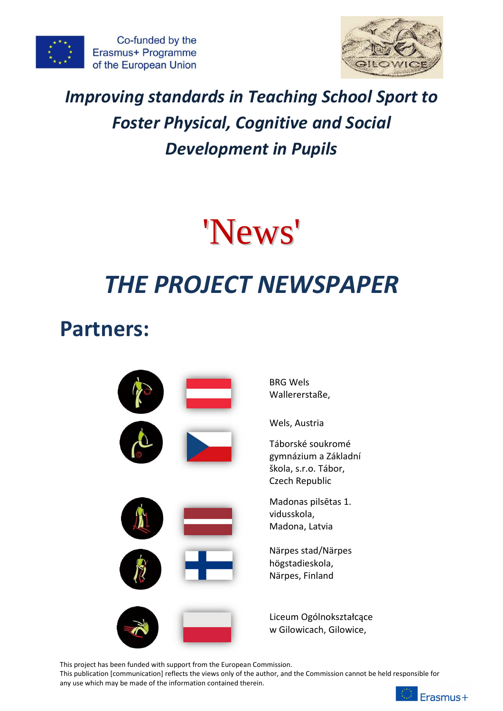



# *Improving standards in Teaching School Sport to Foster Physical, Cognitive and Social Development in Pupils*



# *THE PROJECT NEWSPAPER*

# **Partners:**



This project has been funded with support from the European Commission.

This publication [communication] reflects the views only of the author, and the Commission cannot be held responsible for any use which may be made of the information contained therein.

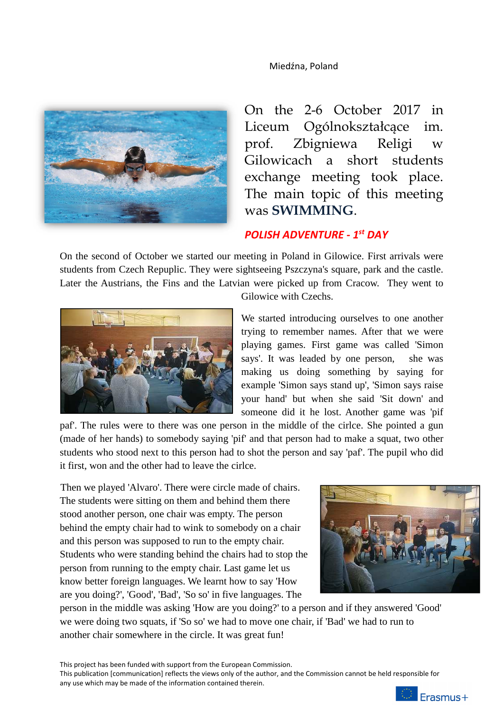

On the 2-6 October 2017 in Liceum Ogólnokształcące im. prof. Zbigniewa Religi w Gilowicach a short students exchange meeting took place. The main topic of this meeting was **SWIMMING**.

# *POLISH ADVENTURE - 1st DAY*

On the second of October we started our meeting in Poland in Gilowice. First arrivals were students from Czech Repuplic. They were sightseeing Pszczyna's square, park and the castle. Later the Austrians, the Fins and the Latvian were picked up from Cracow. They went to



Gilowice with Czechs.

We started introducing ourselves to one another trying to remember names. After that we were playing games. First game was called 'Simon says'. It was leaded by one person, she was making us doing something by saying for example 'Simon says stand up', 'Simon says raise your hand' but when she said 'Sit down' and someone did it he lost. Another game was 'pif

paf'. The rules were to there was one person in the middle of the cirlce. She pointed a gun (made of her hands) to somebody saying 'pif' and that person had to make a squat, two other students who stood next to this person had to shot the person and say 'paf'. The pupil who did it first, won and the other had to leave the cirlce.

Then we played 'Alvaro'. There were circle made of chairs. The students were sitting on them and behind them there stood another person, one chair was empty. The person behind the empty chair had to wink to somebody on a chair and this person was supposed to run to the empty chair. Students who were standing behind the chairs had to stop the person from running to the empty chair. Last game let us know better foreign languages. We learnt how to say 'How are you doing?', 'Good', 'Bad', 'So so' in five languages. The



person in the middle was asking 'How are you doing?' to a person and if they answered 'Good' we were doing two squats, if 'So so' we had to move one chair, if 'Bad' we had to run to another chair somewhere in the circle. It was great fun!

This project has been funded with support from the European Commission. This publication [communication] reflects the views only of the author, and the Commission cannot be held responsible for any use which may be made of the information contained therein.

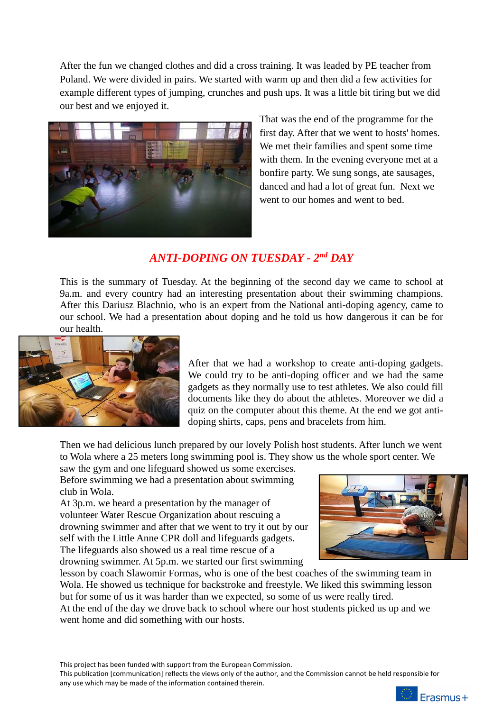After the fun we changed clothes and did a cross training. It was leaded by PE teacher from Poland. We were divided in pairs. We started with warm up and then did a few activities for example different types of jumping, crunches and push ups. It was a little bit tiring but we did our best and we enjoyed it.



That was the end of the programme for the first day. After that we went to hosts' homes. We met their families and spent some time with them. In the evening everyone met at a bonfire party. We sung songs, ate sausages, danced and had a lot of great fun. Next we went to our homes and went to bed.

# *ANTI-DOPING ON TUESDAY - 2nd DAY*

This is the summary of Tuesday. At the beginning of the second day we came to school at 9a.m. and every country had an interesting presentation about their swimming champions. After this Dariusz Blachnio, who is an expert from the National anti-doping agency, came to our school. We had a presentation about doping and he told us how dangerous it can be for our health.



After that we had a workshop to create anti-doping gadgets. We could try to be anti-doping officer and we had the same gadgets as they normally use to test athletes. We also could fill documents like they do about the athletes. Moreover we did a quiz on the computer about this theme. At the end we got antidoping shirts, caps, pens and bracelets from him.

Then we had delicious lunch prepared by our lovely Polish host students. After lunch we went to Wola where a 25 meters long swimming pool is. They show us the whole sport center. We

saw the gym and one lifeguard showed us some exercises. Before swimming we had a presentation about swimming club in Wola.

At 3p.m. we heard a presentation by the manager of volunteer Water Rescue Organization about rescuing a drowning swimmer and after that we went to try it out by our self with the Little Anne CPR doll and lifeguards gadgets. The lifeguards also showed us a real time rescue of a drowning swimmer. At 5p.m. we started our first swimming



lesson by coach Slawomir Formas, who is one of the best coaches of the swimming team in Wola. He showed us technique for backstroke and freestyle. We liked this swimming lesson but for some of us it was harder than we expected, so some of us were really tired. At the end of the day we drove back to school where our host students picked us up and we went home and did something with our hosts.

This project has been funded with support from the European Commission.

This publication [communication] reflects the views only of the author, and the Commission cannot be held responsible for any use which may be made of the information contained therein.

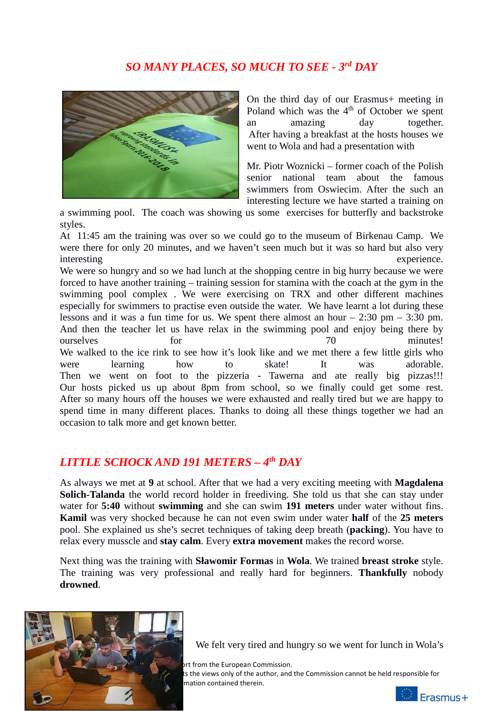# *SO MANY PLACES, SO MUCH TO SEE - 3rd DAY*



On the third day of our Erasmus+ meeting in Poland which was the  $4<sup>th</sup>$  of October we spent an amazing day together. After having a breakfast at the hosts houses we went to Wola and had a presentation with

Mr. Piotr Woznicki – former coach of the Polish senior national team about the famous swimmers from Oswiecim. After the such an interesting lecture we have started a training on

a swimming pool. The coach was showing us some exercises for butterfly and backstroke styles.

At 11:45 am the training was over so we could go to the museum of Birkenau Camp. We were there for only 20 minutes, and we haven't seen much but it was so hard but also very interesting experience.

We were so hungry and so we had lunch at the shopping centre in big hurry because we were forced to have another training – training session for stamina with the coach at the gym in the swimming pool complex . We were exercising on TRX and other different machines especially for swimmers to practise even outside the water. We have learnt a lot during these lessons and it was a fun time for us. We spent there almost an hour  $-2:30$  pm  $-3:30$  pm. And then the teacher let us have relax in the swimming pool and enjoy being there by ourselves for for 70 minutes! We walked to the ice rink to see how it's look like and we met there a few little girls who were learning how to skate! It was adorable. Then we went on foot to the pizzeria - Tawerna and ate really big pizzas!!! Our hosts picked us up about 8pm from school, so we finally could get some rest. After so many hours off the houses we were exhausted and really tired but we are happy to spend time in many different places. Thanks to doing all these things together we had an occasion to talk more and get known better.

## *LITTLE SCHOCK AND 191 METERS – 4th DAY*

As always we met at **9** at school. After that we had a very exciting meeting with **Magdalena Solich-Talanda** the world record holder in freediving. She told us that she can stay under water for **5:40** without **swimming** and she can swim **191 meters** under water without fins. **Kamil** was very shocked because he can not even swim under water **half** of the **25 meters** pool. She explained us she's secret techniques of taking deep breath (**packing**). You have to relax every musscle and **stay calm**. Every **extra movement** makes the record worse.

Next thing was the training with **Sławomir Formas** in **Wola**. We trained **breast stroke** style. The training was very professional and really hard for beginners. **Thankfully** nobody **drowned**.



We felt very tired and hungry so we went for lunch in Wola's

ort from the European Commission.

ts the views only of the author, and the Commission cannot be held responsible for mation contained therein.